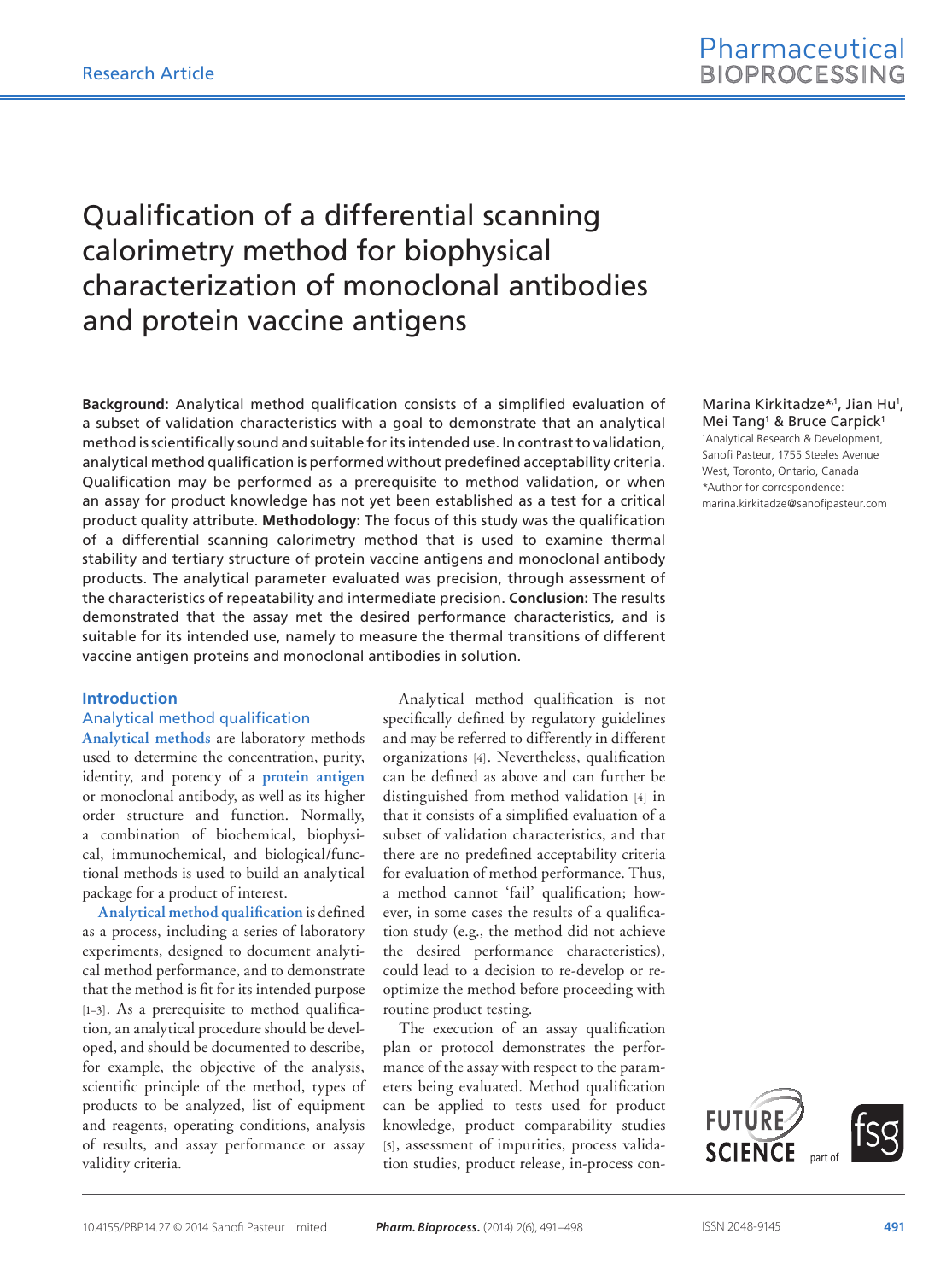# Qualification of a differential scanning calorimetry method for biophysical characterization of monoclonal antibodies and protein vaccine antigens

**Background:** Analytical method qualification consists of a simplified evaluation of a subset of validation characteristics with a goal to demonstrate that an analytical method is scientifically sound and suitable for its intended use. In contrast to validation, analytical method qualification is performed without predefined acceptability criteria. Qualification may be performed as a prerequisite to method validation, or when an assay for product knowledge has not yet been established as a test for a critical product quality attribute. **Methodology:** The focus of this study was the qualification of a differential scanning calorimetry method that is used to examine thermal stability and tertiary structure of protein vaccine antigens and monoclonal antibody products. The analytical parameter evaluated was precision, through assessment of the characteristics of repeatability and intermediate precision. **Conclusion:** The results demonstrated that the assay met the desired performance characteristics, and is suitable for its intended use, namely to measure the thermal transitions of different vaccine antigen proteins and monoclonal antibodies in solution.

# **Introduction**

# Analytical method qualification

**Analytical methods** are laboratory methods used to determine the concentration, purity, identity, and potency of a **protein antigen** or monoclonal antibody, as well as its higher order structure and function. Normally, a combination of biochemical, biophysical, immunochemical, and biological/functional methods is used to build an analytical package for a product of interest.

**Analytical method qualification** is defined as a process, including a series of laboratory experiments, designed to document analytical method performance, and to demonstrate that the method is fit for its intended purpose [1–3]. As a prerequisite to method qualification, an analytical procedure should be developed, and should be documented to describe, for example, the objective of the analysis, scientific principle of the method, types of products to be analyzed, list of equipment and reagents, operating conditions, analysis of results, and assay performance or assay validity criteria.

Analytical method qualification is not specifically defined by regulatory guidelines and may be referred to differently in different organizations [4]. Nevertheless, qualification can be defined as above and can further be distinguished from method validation [4] in that it consists of a simplified evaluation of a subset of validation characteristics, and that there are no predefined acceptability criteria for evaluation of method performance. Thus, a method cannot 'fail' qualification; however, in some cases the results of a qualification study (e.g., the method did not achieve the desired performance characteristics), could lead to a decision to re-develop or reoptimize the method before proceeding with routine product testing.

The execution of an assay qualification plan or protocol demonstrates the performance of the assay with respect to the parameters being evaluated. Method qualification can be applied to tests used for product knowledge, product comparability studies [5], assessment of impurities, process validation studies, product release, in-process con-

Marina Kirkitadze<sup>\*,1</sup>, Jian Hu<sup>1</sup>, Mei Tang<sup>1</sup> & Bruce Carpick<sup>1</sup> 1 Analytical Research & Development, Sanofi Pasteur, 1755 Steeles Avenue West, Toronto, Ontario, Canada \*Author for correspondence: marina.kirkitadze@sanofipasteur.com

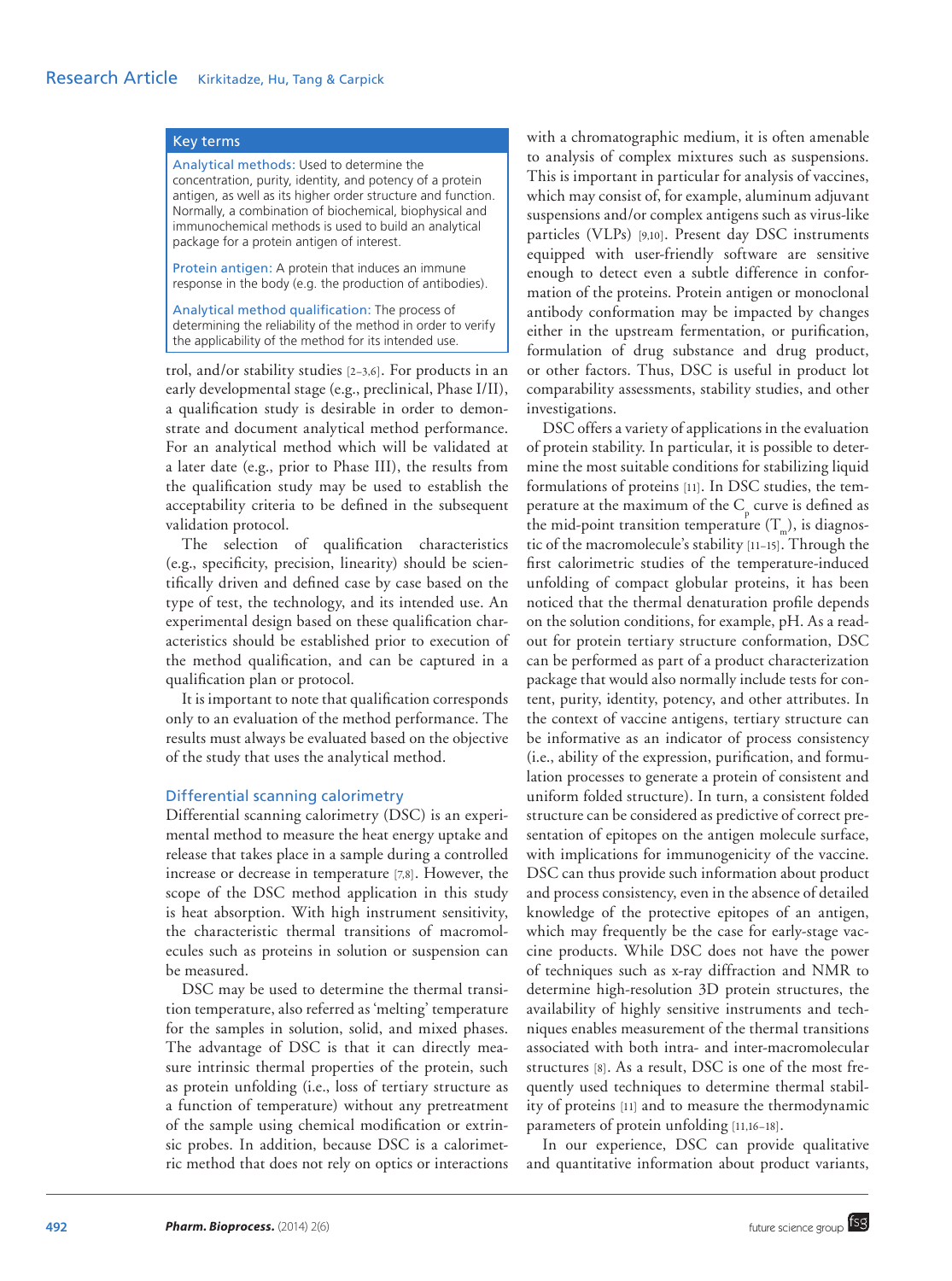# Key terms

Analytical methods: Used to determine the concentration, purity, identity, and potency of a protein antigen, as well as its higher order structure and function. Normally, a combination of biochemical, biophysical and immunochemical methods is used to build an analytical package for a protein antigen of interest.

Protein antigen: A protein that induces an immune response in the body (e.g. the production of antibodies).

Analytical method qualification: The process of determining the reliability of the method in order to verify the applicability of the method for its intended use.

trol, and/or stability studies [2–3,6]. For products in an early developmental stage (e.g., preclinical, Phase I/II), a qualification study is desirable in order to demonstrate and document analytical method performance. For an analytical method which will be validated at a later date (e.g., prior to Phase III), the results from the qualification study may be used to establish the acceptability criteria to be defined in the subsequent validation protocol.

The selection of qualification characteristics (e.g., specificity, precision, linearity) should be scientifically driven and defined case by case based on the type of test, the technology, and its intended use. An experimental design based on these qualification characteristics should be established prior to execution of the method qualification, and can be captured in a qualification plan or protocol.

It is important to note that qualification corresponds only to an evaluation of the method performance. The results must always be evaluated based on the objective of the study that uses the analytical method.

# Differential scanning calorimetry

Differential scanning calorimetry (DSC) is an experimental method to measure the heat energy uptake and release that takes place in a sample during a controlled increase or decrease in temperature [7,8]. However, the scope of the DSC method application in this study is heat absorption. With high instrument sensitivity, the characteristic thermal transitions of macromolecules such as proteins in solution or suspension can be measured.

DSC may be used to determine the thermal transition temperature, also referred as 'melting' temperature for the samples in solution, solid, and mixed phases. The advantage of DSC is that it can directly measure intrinsic thermal properties of the protein, such as protein unfolding (i.e., loss of tertiary structure as a function of temperature) without any pretreatment of the sample using chemical modification or extrinsic probes. In addition, because DSC is a calorimetric method that does not rely on optics or interactions with a chromatographic medium, it is often amenable to analysis of complex mixtures such as suspensions. This is important in particular for analysis of vaccines, which may consist of, for example, aluminum adjuvant suspensions and/or complex antigens such as virus-like particles (VLPs) [9,10]. Present day DSC instruments equipped with user-friendly software are sensitive enough to detect even a subtle difference in conformation of the proteins. Protein antigen or monoclonal antibody conformation may be impacted by changes either in the upstream fermentation, or purification, formulation of drug substance and drug product, or other factors. Thus, DSC is useful in product lot comparability assessments, stability studies, and other investigations.

DSC offers a variety of applications in the evaluation of protein stability. In particular, it is possible to determine the most suitable conditions for stabilizing liquid formulations of proteins [11]. In DSC studies, the temperature at the maximum of the  $C_{p}$  curve is defined as the mid-point transition temperature  $(T_m)$ , is diagnostic of the macromolecule's stability [11–15]. Through the first calorimetric studies of the temperature-induced unfolding of compact globular proteins, it has been noticed that the thermal denaturation profile depends on the solution conditions, for example, pH. As a readout for protein tertiary structure conformation, DSC can be performed as part of a product characterization package that would also normally include tests for content, purity, identity, potency, and other attributes. In the context of vaccine antigens, tertiary structure can be informative as an indicator of process consistency (i.e., ability of the expression, purification, and formulation processes to generate a protein of consistent and uniform folded structure). In turn, a consistent folded structure can be considered as predictive of correct presentation of epitopes on the antigen molecule surface, with implications for immunogenicity of the vaccine. DSC can thus provide such information about product and process consistency, even in the absence of detailed knowledge of the protective epitopes of an antigen, which may frequently be the case for early-stage vaccine products. While DSC does not have the power of techniques such as x-ray diffraction and NMR to determine high-resolution 3D protein structures, the availability of highly sensitive instruments and techniques enables measurement of the thermal transitions associated with both intra- and inter-macromolecular structures [8]. As a result, DSC is one of the most frequently used techniques to determine thermal stability of proteins [11] and to measure the thermodynamic parameters of protein unfolding [11,16–18].

In our experience, DSC can provide qualitative and quantitative information about product variants,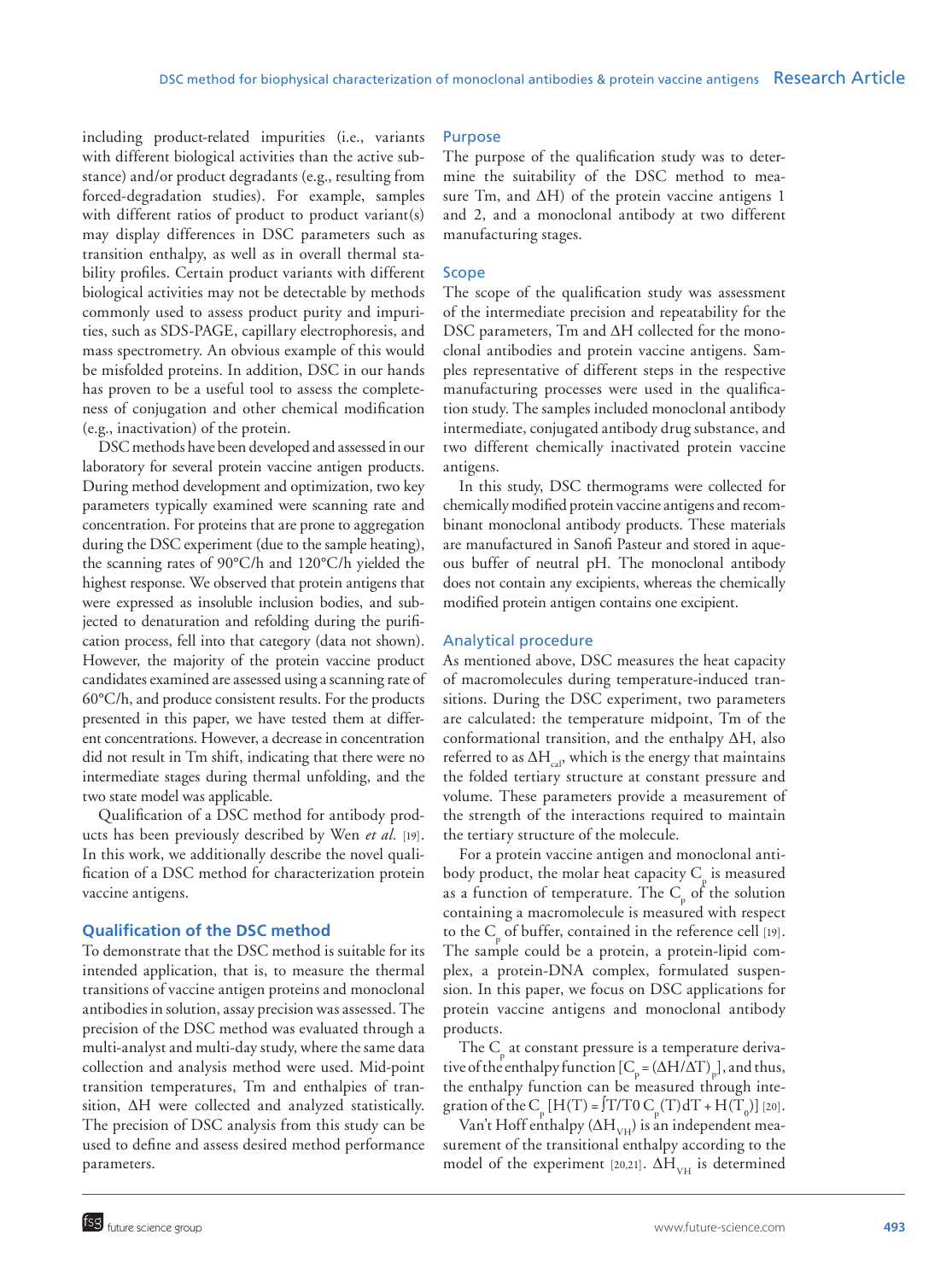including product-related impurities (i.e., variants with different biological activities than the active substance) and/or product degradants (e.g., resulting from forced-degradation studies). For example, samples with different ratios of product to product variant(s) may display differences in DSC parameters such as transition enthalpy, as well as in overall thermal stability profiles. Certain product variants with different biological activities may not be detectable by methods commonly used to assess product purity and impurities, such as SDS-PAGE, capillary electrophoresis, and mass spectrometry. An obvious example of this would be misfolded proteins. In addition, DSC in our hands has proven to be a useful tool to assess the completeness of conjugation and other chemical modification (e.g., inactivation) of the protein.

DSC methods have been developed and assessed in our laboratory for several protein vaccine antigen products. During method development and optimization, two key parameters typically examined were scanning rate and concentration. For proteins that are prone to aggregation during the DSC experiment (due to the sample heating), the scanning rates of 90°C/h and 120°C/h yielded the highest response. We observed that protein antigens that were expressed as insoluble inclusion bodies, and subjected to denaturation and refolding during the purification process, fell into that category (data not shown). However, the majority of the protein vaccine product candidates examined are assessed using a scanning rate of 60°C/h, and produce consistent results. For the products presented in this paper, we have tested them at different concentrations. However, a decrease in concentration did not result in Tm shift, indicating that there were no intermediate stages during thermal unfolding, and the two state model was applicable.

Qualification of a DSC method for antibody products has been previously described by Wen *et al.* [19]. In this work, we additionally describe the novel qualification of a DSC method for characterization protein vaccine antigens.

# **Qualification of the DSC method**

To demonstrate that the DSC method is suitable for its intended application, that is, to measure the thermal transitions of vaccine antigen proteins and monoclonal antibodies in solution, assay precision was assessed. The precision of the DSC method was evaluated through a multi-analyst and multi-day study, where the same data collection and analysis method were used. Mid-point transition temperatures, Tm and enthalpies of transition, ΔH were collected and analyzed statistically. The precision of DSC analysis from this study can be used to define and assess desired method performance parameters.

# Purpose

The purpose of the qualification study was to determine the suitability of the DSC method to measure Tm, and  $\Delta H$ ) of the protein vaccine antigens 1 and 2, and a monoclonal antibody at two different manufacturing stages.

# Scope

The scope of the qualification study was assessment of the intermediate precision and repeatability for the DSC parameters, Tm and ΔH collected for the monoclonal antibodies and protein vaccine antigens. Samples representative of different steps in the respective manufacturing processes were used in the qualification study. The samples included monoclonal antibody intermediate, conjugated antibody drug substance, and two different chemically inactivated protein vaccine antigens.

In this study, DSC thermograms were collected for chemically modified protein vaccine antigens and recombinant monoclonal antibody products. These materials are manufactured in Sanofi Pasteur and stored in aqueous buffer of neutral pH. The monoclonal antibody does not contain any excipients, whereas the chemically modified protein antigen contains one excipient.

# Analytical procedure

As mentioned above, DSC measures the heat capacity of macromolecules during temperature-induced transitions. During the DSC experiment, two parameters are calculated: the temperature midpoint, Tm of the conformational transition, and the enthalpy ΔH, also referred to as  $\Delta H_{\text{col}}$ , which is the energy that maintains the folded tertiary structure at constant pressure and volume. These parameters provide a measurement of the strength of the interactions required to maintain the tertiary structure of the molecule.

For a protein vaccine antigen and monoclonal antibody product, the molar heat capacity  $C_{\mathsf{p}}$  is measured as a function of temperature. The  $C_p$  of the solution containing a macromolecule is measured with respect to the  $C_{p}$  of buffer, contained in the reference cell [19]. The sample could be a protein, a protein-lipid complex, a protein-DNA complex, formulated suspension. In this paper, we focus on DSC applications for protein vaccine antigens and monoclonal antibody products.

The  $C_{\text{p}}$  at constant pressure is a temperature derivative of the enthalpy function  $[C_{p} = (\Delta H/\Delta T)_{p}]$ , and thus, the enthalpy function can be measured through integration of the C<sub>p</sub> [H(T) =  $\int T/T$ 0 C<sub>p</sub>(T)dT + H(T<sub>0</sub>)] [20].

Van't Hoff enthalpy ( $\Delta H_{VH}$ ) is an independent measurement of the transitional enthalpy according to the model of the experiment [20,21].  $\Delta H_{VH}$  is determined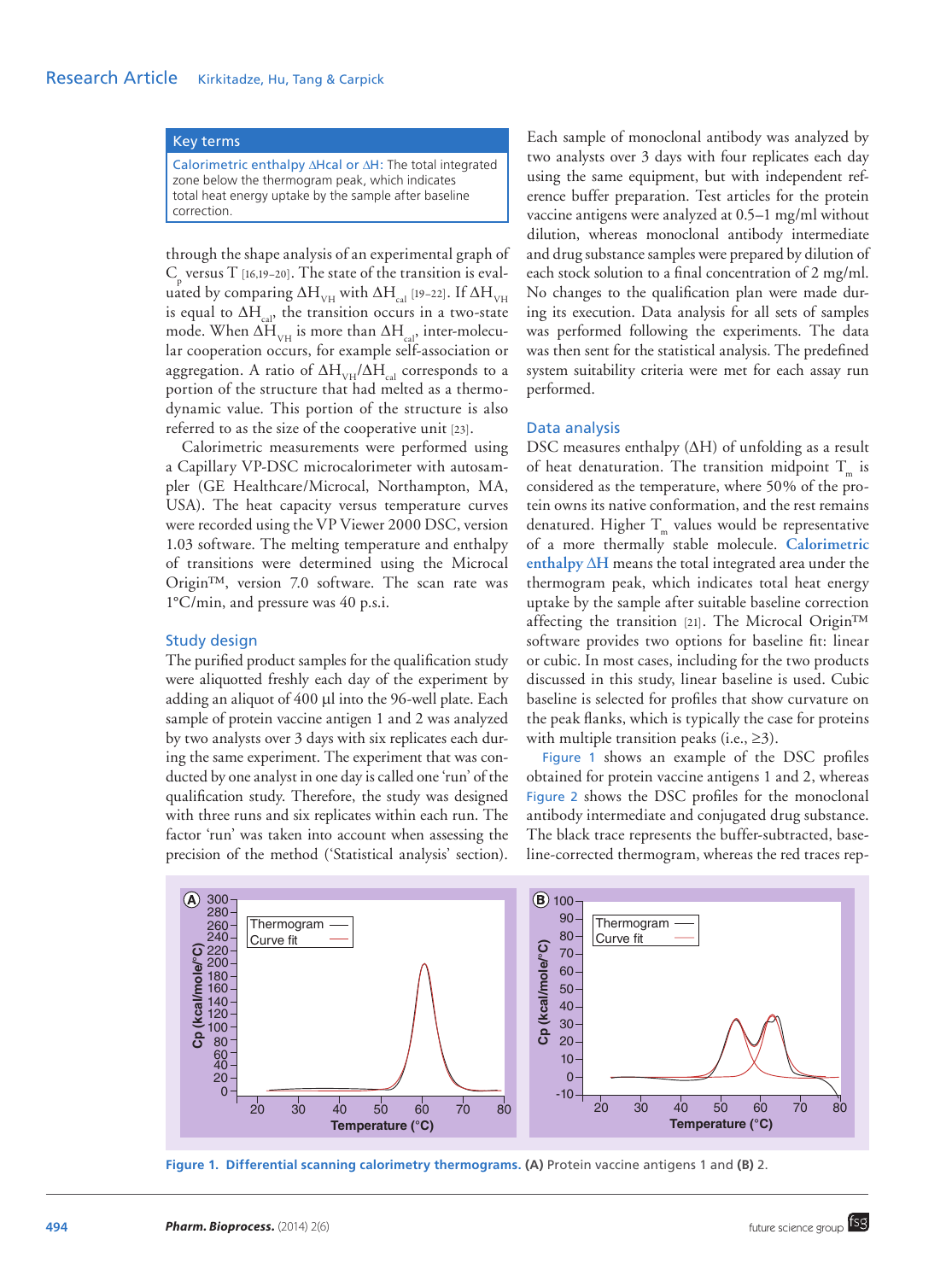## Key terms

Calorimetric enthalpy ΔHcal or ΔH: The total integrated zone below the thermogram peak, which indicates total heat energy uptake by the sample after baseline correction.

through the shape analysis of an experimental graph of  $C_{\rm p}$  versus T [16,19–20]. The state of the transition is evaluated by comparing  $\Delta H_{VH}$  with  $\Delta H_{cal}$  [19–22]. If  $\Delta H_{VH}$ is equal to  $\Delta H_{\text{eq}}$ , the transition occurs in a two-state mode. When  $\Delta H_{VH}$  is more than  $\Delta H_{cal}$ , inter-molecular cooperation occurs, for example self-association or aggregation. A ratio of  $\Delta H_{VH}/\Delta H_{cal}$  corresponds to a portion of the structure that had melted as a thermodynamic value. This portion of the structure is also referred to as the size of the cooperative unit [23].

Calorimetric measurements were performed using a Capillary VP-DSC microcalorimeter with autosampler (GE Healthcare/Microcal, Northampton, MA, USA). The heat capacity versus temperature curves were recorded using the VP Viewer 2000 DSC, version 1.03 software. The melting temperature and enthalpy of transitions were determined using the Microcal Origin™, version 7.0 software. The scan rate was 1°C/min, and pressure was 40 p.s.i.

#### Study design

The purified product samples for the qualification study were aliquotted freshly each day of the experiment by adding an aliquot of 400 μl into the 96-well plate. Each sample of protein vaccine antigen 1 and 2 was analyzed by two analysts over 3 days with six replicates each during the same experiment. The experiment that was conducted by one analyst in one day is called one 'run' of the qualification study. Therefore, the study was designed with three runs and six replicates within each run. The factor 'run' was taken into account when assessing the precision of the method ('Statistical analysis' section).

Each sample of monoclonal antibody was analyzed by two analysts over 3 days with four replicates each day using the same equipment, but with independent reference buffer preparation. Test articles for the protein vaccine antigens were analyzed at 0.5–1 mg/ml without dilution, whereas monoclonal antibody intermediate and drug substance samples were prepared by dilution of each stock solution to a final concentration of 2 mg/ml. No changes to the qualification plan were made during its execution. Data analysis for all sets of samples was performed following the experiments. The data was then sent for the statistical analysis. The predefined system suitability criteria were met for each assay run performed.

# Data analysis

DSC measures enthalpy  $(\Delta H)$  of unfolding as a result of heat denaturation. The transition midpoint  $T_m$  is considered as the temperature, where 50% of the protein owns its native conformation, and the rest remains denatured. Higher  $T_m$  values would be representative of a more thermally stable molecule. **Calorimetric enthalpy** Δ**H** means the total integrated area under the thermogram peak, which indicates total heat energy uptake by the sample after suitable baseline correction affecting the transition [21]. The Microcal Origin<sup>TM</sup> software provides two options for baseline fit: linear or cubic. In most cases, including for the two products discussed in this study, linear baseline is used. Cubic baseline is selected for profiles that show curvature on the peak flanks, which is typically the case for proteins with multiple transition peaks (i.e.,  $\geq 3$ ).

Figure 1 shows an example of the DSC profiles obtained for protein vaccine antigens 1 and 2, whereas Figure 2 shows the DSC profiles for the monoclonal antibody intermediate and conjugated drug substance. The black trace represents the buffer-subtracted, baseline-corrected thermogram, whereas the red traces rep-



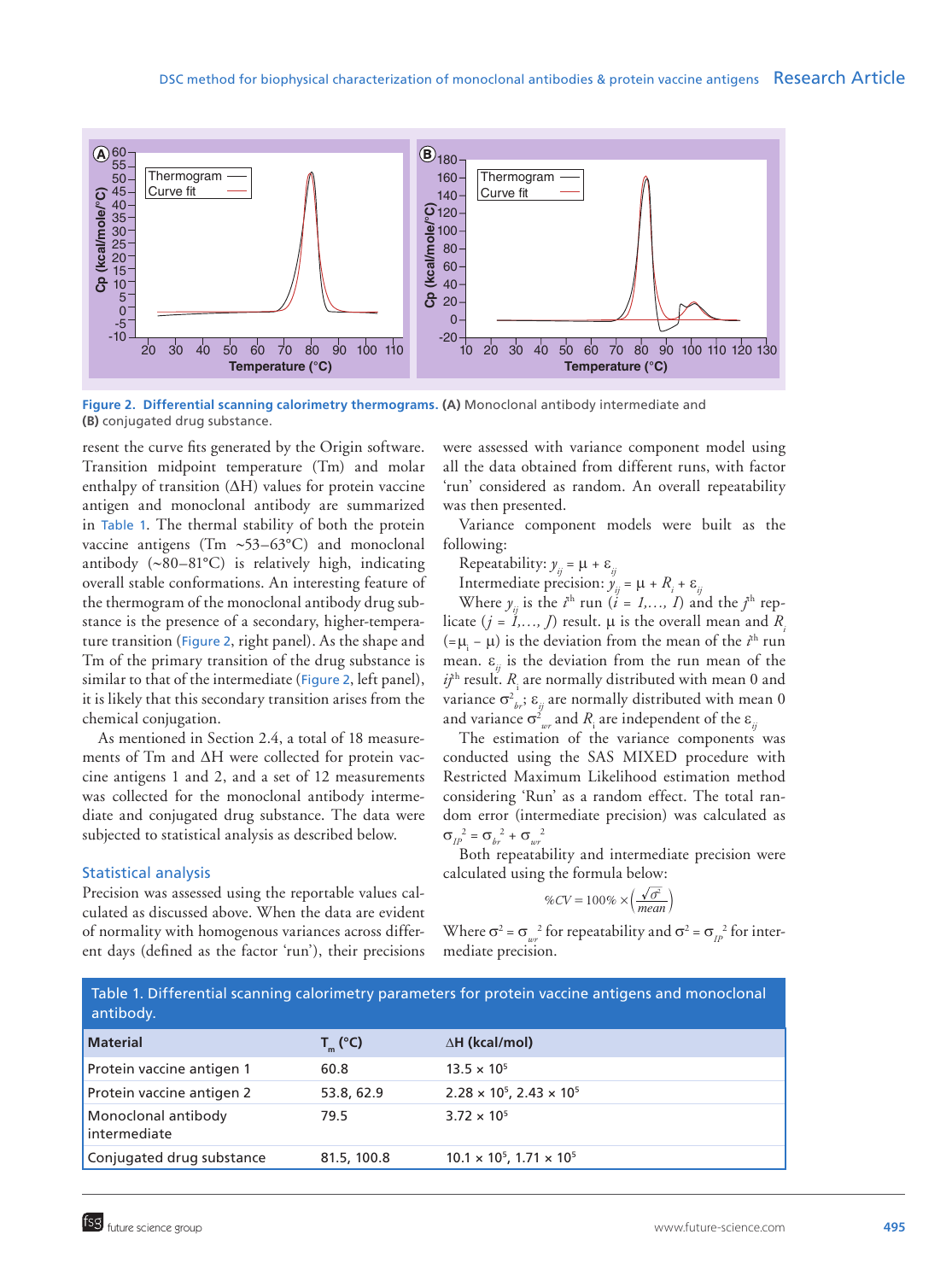

**Figure 2. Differential scanning calorimetry thermograms. (A)** Monoclonal antibody intermediate and **(B)** conjugated drug substance.

resent the curve fits generated by the Origin software. Transition midpoint temperature (Tm) and molar enthalpy of transition  $(ΔH)$  values for protein vaccine antigen and monoclonal antibody are summarized in Table 1. The thermal stability of both the protein vaccine antigens (Tm ∼53–63°C) and monoclonal antibody (∼80–81°C) is relatively high, indicating overall stable conformations. An interesting feature of the thermogram of the monoclonal antibody drug substance is the presence of a secondary, higher-temperature transition (Figure 2, right panel). As the shape and Tm of the primary transition of the drug substance is similar to that of the intermediate (Figure 2, left panel), it is likely that this secondary transition arises from the chemical conjugation.

As mentioned in Section 2.4, a total of 18 measurements of Tm and ΔH were collected for protein vaccine antigens 1 and 2, and a set of 12 measurements was collected for the monoclonal antibody intermediate and conjugated drug substance. The data were subjected to statistical analysis as described below.

# Statistical analysis

Precision was assessed using the reportable values calculated as discussed above. When the data are evident of normality with homogenous variances across different days (defined as the factor 'run'), their precisions were assessed with variance component model using all the data obtained from different runs, with factor 'run' considered as random. An overall repeatability was then presented.

Variance component models were built as the following:

Repeatability:  $y_{ij} = \mu + \varepsilon_{ij}$ 

Intermediate precision:  $y_{ij} = \mu + R_i + \varepsilon_{ij}$ 

Where  $y_{ij}$  is the  $i^{\text{th}}$  run ( $i = 1,..., I$ ) and the  $j^{\text{th}}$  replicate  $(j = 1, \ldots, l)$  result.  $\mu$  is the overall mean and *R*. (=μ<sub>i</sub> − μ) is the deviation from the mean of the  *run* mean. ε*ij* is the deviation from the run mean of the  $ij$ <sup>th</sup> result.  $R$ <sub>i</sub> are normally distributed with mean 0 and variance  $\sigma^2_{\phantom{2}b}$ ;  $\varepsilon_{ij}$  are normally distributed with mean 0 and variance  $\sigma^2_{\nu r}$  and  $R$  are independent of the  $\varepsilon_{i j}$ 

The estimation of the variance components was conducted using the SAS MIXED procedure with Restricted Maximum Likelihood estimation method considering 'Run' as a random effect. The total random error (intermediate precision) was calculated as  $σ<sub>IP</sub><sup>2</sup> = σ<sub>br</sub><sup>2</sup> + σ<sub>wr</sub><sup>2</sup>$ 

Both repeatability and intermediate precision were calculated using the formula below:

$$
\%CV = 100\% \times \left(\frac{\sqrt{\sigma^2}}{mean}\right)
$$

Where  $\sigma^2 = \sigma_{wr}^2$  for repeatability and  $\sigma^2 = \sigma_{IP}^2$  for intermediate precision.

Table 1. Differential scanning calorimetry parameters for protein vaccine antigens and monoclonal antibody.

| antibuuv.                           |              |                                         |
|-------------------------------------|--------------|-----------------------------------------|
| <b>Material</b>                     | $T_{m}$ (°C) | $\Delta H$ (kcal/mol)                   |
| Protein vaccine antigen 1           | 60.8         | $13.5 \times 10^{5}$                    |
| Protein vaccine antigen 2           | 53.8, 62.9   | $2.28 \times 10^5$ , 2.43 $\times 10^5$ |
| Monoclonal antibody<br>intermediate | 79.5         | $3.72 \times 10^{5}$                    |
| Conjugated drug substance           | 81.5, 100.8  | $10.1 \times 10^5$ , $1.71 \times 10^5$ |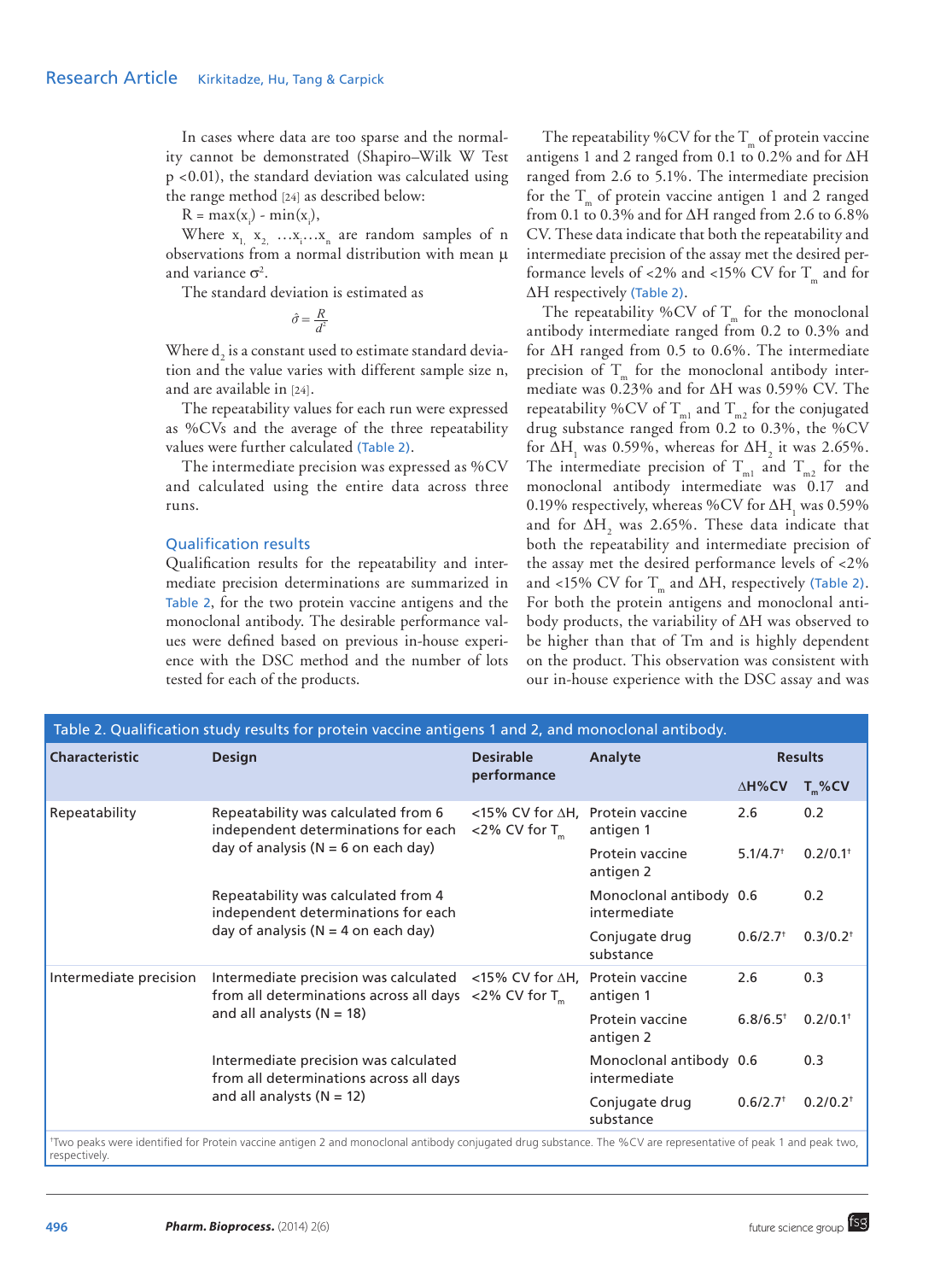In cases where data are too sparse and the normality cannot be demonstrated (Shapiro–Wilk W Test p <0.01), the standard deviation was calculated using the range method [24] as described below:

 $R = max(x_i) - min(x_i)$ ,

Where  $x_{1}, x_{2}, \ldots x_{i} \ldots x_{n}$  are random samples of n observations from a normal distribution with mean μ and variance  $\sigma^2$ .

The standard deviation is estimated as

 $\hat{\sigma} = \frac{R}{d^2}$ 

Where  $\mathsf{d}_2$  is a constant used to estimate standard deviation and the value varies with different sample size n, and are available in [24].

The repeatability values for each run were expressed as %CVs and the average of the three repeatability values were further calculated (Table 2).

The intermediate precision was expressed as %CV and calculated using the entire data across three runs.

# Qualification results

Qualification results for the repeatability and intermediate precision determinations are summarized in Table 2, for the two protein vaccine antigens and the monoclonal antibody. The desirable performance values were defined based on previous in-house experience with the DSC method and the number of lots tested for each of the products.

The repeatability %CV for the  $T_m$  of protein vaccine antigens 1 and 2 ranged from 0.1 to 0.2% and for ΔH ranged from 2.6 to 5.1%. The intermediate precision for the  $T_m$  of protein vaccine antigen 1 and 2 ranged from 0.1 to 0.3% and for  $\Delta H$  ranged from 2.6 to 6.8% CV. These data indicate that both the repeatability and intermediate precision of the assay met the desired performance levels of <2% and <15% CV for  $T_m$  and for ΔH respectively (Table 2).

The repeatability %CV of  $T_{m}$  for the monoclonal antibody intermediate ranged from 0.2 to 0.3% and for ΔH ranged from 0.5 to 0.6%. The intermediate precision of  $T<sub>m</sub>$  for the monoclonal antibody intermediate was 0.23% and for ΔH was 0.59% CV. The repeatability %CV of  $T_{m1}$  and  $T_{m2}$  for the conjugated drug substance ranged from 0.2 to 0.3%, the %CV for  $\Delta H$ <sub>1</sub> was 0.59%, whereas for  $\Delta H$ <sub>2</sub> it was 2.65%. The intermediate precision of  $T_{m1}$  and  $T_{m2}$  for the monoclonal antibody intermediate was 0.17 and 0.19% respectively, whereas %CV for  $\Delta H_{_1}$  was 0.59% and for  $\Delta H$ <sub>2</sub> was 2.65%. These data indicate that both the repeatability and intermediate precision of the assay met the desired performance levels of <2% and <15% CV for  $T_{\mu}$  and  $\Delta H$ , respectively (Table 2). For both the protein antigens and monoclonal antibody products, the variability of ΔH was observed to be higher than that of Tm and is highly dependent on the product. This observation was consistent with our in-house experience with the DSC assay and was

| Table 2. Qualification study results for protein vaccine antigens 1 and 2, and monoclonal antibody.                                                          |                                                                                                                                                 |                                                                 |                                         |                        |                        |  |  |  |
|--------------------------------------------------------------------------------------------------------------------------------------------------------------|-------------------------------------------------------------------------------------------------------------------------------------------------|-----------------------------------------------------------------|-----------------------------------------|------------------------|------------------------|--|--|--|
| <b>Characteristic</b>                                                                                                                                        | <b>Design</b>                                                                                                                                   | <b>Desirable</b><br>performance                                 | Analyte                                 | <b>Results</b>         |                        |  |  |  |
|                                                                                                                                                              |                                                                                                                                                 |                                                                 |                                         | $\Delta H\%$ CV        | $T_{\rm m}$ %CV        |  |  |  |
| Repeatability                                                                                                                                                | Repeatability was calculated from 6<br>independent determinations for each<br>day of analysis ( $N = 6$ on each day)                            | <15% CV for AH, Protein vaccine<br>$<$ 2% CV for T <sub>m</sub> | antigen 1                               | 2.6                    | 0.2                    |  |  |  |
|                                                                                                                                                              |                                                                                                                                                 |                                                                 | Protein vaccine<br>antigen 2            | $5.1/4.7$ <sup>+</sup> | $0.2/0.1$ <sup>t</sup> |  |  |  |
|                                                                                                                                                              | Repeatability was calculated from 4<br>independent determinations for each<br>day of analysis ( $N = 4$ on each day)                            |                                                                 | Monoclonal antibody 0.6<br>intermediate |                        | 0.2                    |  |  |  |
|                                                                                                                                                              |                                                                                                                                                 |                                                                 | Conjugate drug<br>substance             | $0.6/2.7$ <sup>t</sup> | $0.3/0.2$ <sup>†</sup> |  |  |  |
| Intermediate precision                                                                                                                                       | Intermediate precision was calculated<br>from all determinations across all days $\lt 2\%$ CV for T <sub>m</sub><br>and all analysts $(N = 18)$ | <15% CV for ∆H, Protein vaccine                                 | antigen 1                               | 2.6                    | 0.3                    |  |  |  |
|                                                                                                                                                              |                                                                                                                                                 |                                                                 | Protein vaccine<br>antigen 2            | $6.8/6.5$ <sup>†</sup> | $0.2/0.1$ <sup>†</sup> |  |  |  |
|                                                                                                                                                              | Intermediate precision was calculated<br>from all determinations across all days<br>and all analysts $(N = 12)$                                 |                                                                 | Monoclonal antibody 0.6<br>intermediate |                        | 0.3                    |  |  |  |
|                                                                                                                                                              |                                                                                                                                                 |                                                                 | Conjugate drug<br>substance             | $0.6/2.7$ <sup>+</sup> | $0.2/0.2$ <sup>†</sup> |  |  |  |
| Two neaks were identified for Protein vaccine antigen 2 and monoclonal antibody conjugated drug substance. The %CV are representative of peak 1 and peak two |                                                                                                                                                 |                                                                 |                                         |                        |                        |  |  |  |

Two peaks were identified for Protein vaccine antigen 2 and monoclonal antibody conjugated drug substance. The %CV are representative of peak 1 and peak two, respectively.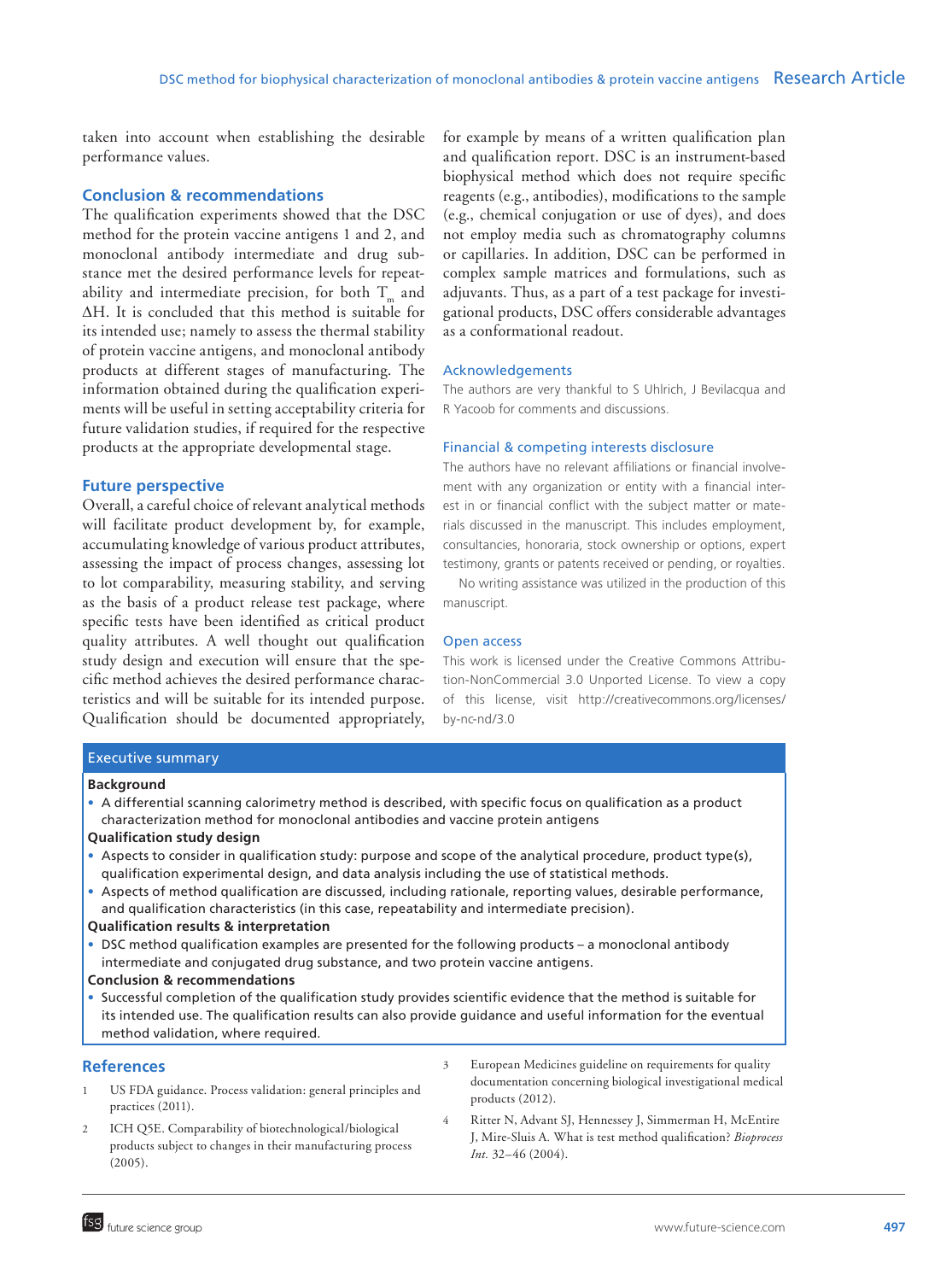taken into account when establishing the desirable performance values.

# **Conclusion & recommendations**

The qualification experiments showed that the DSC method for the protein vaccine antigens 1 and 2, and monoclonal antibody intermediate and drug substance met the desired performance levels for repeatability and intermediate precision, for both  $T_{\mu}$  and ΔH. It is concluded that this method is suitable for its intended use; namely to assess the thermal stability of protein vaccine antigens, and monoclonal antibody products at different stages of manufacturing. The information obtained during the qualification experiments will be useful in setting acceptability criteria for future validation studies, if required for the respective products at the appropriate developmental stage.

# **Future perspective**

Overall, a careful choice of relevant analytical methods will facilitate product development by, for example, accumulating knowledge of various product attributes, assessing the impact of process changes, assessing lot to lot comparability, measuring stability, and serving as the basis of a product release test package, where specific tests have been identified as critical product quality attributes. A well thought out qualification study design and execution will ensure that the specific method achieves the desired performance characteristics and will be suitable for its intended purpose. Qualification should be documented appropriately,

for example by means of a written qualification plan and qualification report. DSC is an instrument-based biophysical method which does not require specific reagents (e.g., antibodies), modifications to the sample (e.g., chemical conjugation or use of dyes), and does not employ media such as chromatography columns or capillaries. In addition, DSC can be performed in complex sample matrices and formulations, such as adjuvants. Thus, as a part of a test package for investigational products, DSC offers considerable advantages as a conformational readout.

# Acknowledgements

The authors are very thankful to S Uhlrich, J Bevilacqua and R Yacoob for comments and discussions.

# Financial & competing interests disclosure

The authors have no relevant affiliations or financial involvement with any organization or entity with a financial interest in or financial conflict with the subject matter or materials discussed in the manuscript. This includes employment, consultancies, honoraria, stock ownership or options, expert testimony, grants or patents received or pending, or royalties.

No writing assistance was utilized in the production of this manuscript.

# Open access

This work is licensed under the Creative Commons Attribution-NonCommercial 3.0 Unported License. To view a copy of this license, visit http://creativecommons.org/licenses/ by-nc-nd/3.0

## Executive summary

#### **Background**

• A differential scanning calorimetry method is described, with specific focus on qualification as a product characterization method for monoclonal antibodies and vaccine protein antigens

# **Qualification study design**

- • Aspects to consider in qualification study: purpose and scope of the analytical procedure, product type(s), qualification experimental design, and data analysis including the use of statistical methods.
- • Aspects of method qualification are discussed, including rationale, reporting values, desirable performance, and qualification characteristics (in this case, repeatability and intermediate precision).

# **Qualification results & interpretation**

• DSC method qualification examples are presented for the following products – a monoclonal antibody intermediate and conjugated drug substance, and two protein vaccine antigens.

# **Conclusion & recommendations**

• Successful completion of the qualification study provides scientific evidence that the method is suitable for its intended use. The qualification results can also provide guidance and useful information for the eventual method validation, where required.

#### **References**

- US FDA guidance. Process validation: general principles and practices (2011).
- 3 European Medicines guideline on requirements for quality documentation concerning biological investigational medical products (2012).
- 2 ICH Q5E. Comparability of biotechnological/biological products subject to changes in their manufacturing process (2005).
- 4 Ritter N, Advant SJ, Hennessey J, Simmerman H, McEntire J, Mire-Sluis A*.* What is test method qualification? *Bioprocess Int.* 32–46 (2004).